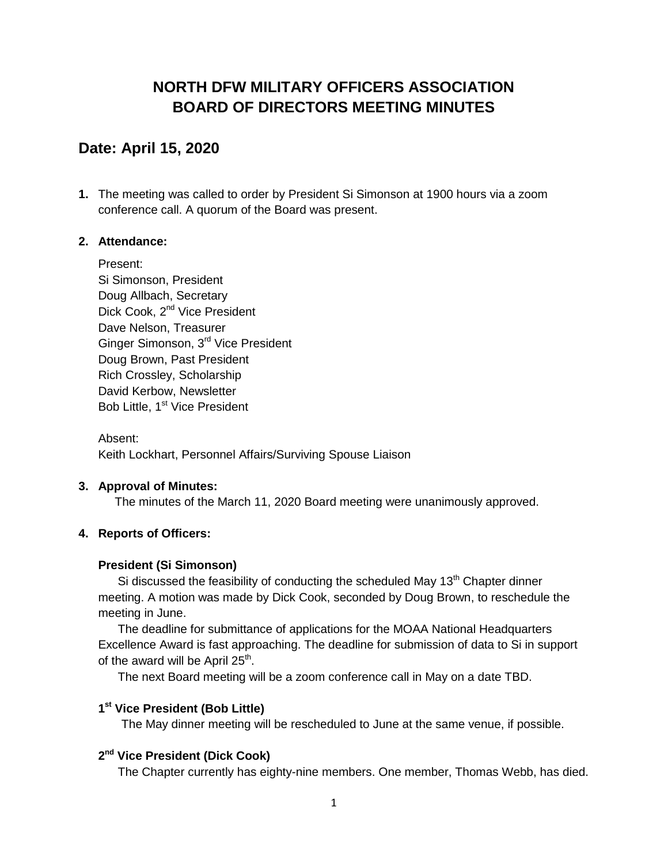# **NORTH DFW MILITARY OFFICERS ASSOCIATION BOARD OF DIRECTORS MEETING MINUTES**

## **Date: April 15, 2020**

**1.** The meeting was called to order by President Si Simonson at 1900 hours via a zoom conference call. A quorum of the Board was present.

## **2. Attendance:**

Present: Si Simonson, President Doug Allbach, Secretary Dick Cook, 2<sup>nd</sup> Vice President Dave Nelson, Treasurer Ginger Simonson, 3rd Vice President Doug Brown, Past President Rich Crossley, Scholarship David Kerbow, Newsletter Bob Little, 1<sup>st</sup> Vice President

Absent: Keith Lockhart, Personnel Affairs/Surviving Spouse Liaison

## **3. Approval of Minutes:**

The minutes of the March 11, 2020 Board meeting were unanimously approved.

## **4. Reports of Officers:**

## **President (Si Simonson)**

Si discussed the feasibility of conducting the scheduled May  $13<sup>th</sup>$  Chapter dinner meeting. A motion was made by Dick Cook, seconded by Doug Brown, to reschedule the meeting in June.

The deadline for submittance of applications for the MOAA National Headquarters Excellence Award is fast approaching. The deadline for submission of data to Si in support of the award will be April 25<sup>th</sup>.

The next Board meeting will be a zoom conference call in May on a date TBD.

## **1 st Vice President (Bob Little)**

The May dinner meeting will be rescheduled to June at the same venue, if possible.

## **2 nd Vice President (Dick Cook)**

The Chapter currently has eighty-nine members. One member, Thomas Webb, has died.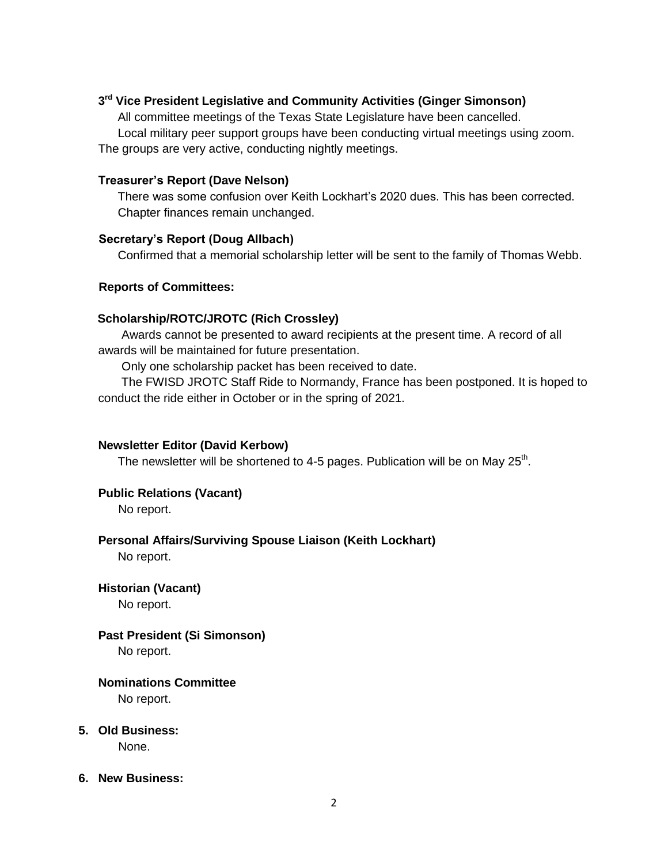## **3 rd Vice President Legislative and Community Activities (Ginger Simonson)**

All committee meetings of the Texas State Legislature have been cancelled. Local military peer support groups have been conducting virtual meetings using zoom. The groups are very active, conducting nightly meetings.

#### **Treasurer's Report (Dave Nelson)**

There was some confusion over Keith Lockhart's 2020 dues. This has been corrected. Chapter finances remain unchanged.

## **Secretary's Report (Doug Allbach)**

Confirmed that a memorial scholarship letter will be sent to the family of Thomas Webb.

## **Reports of Committees:**

## **Scholarship/ROTC/JROTC (Rich Crossley)**

 Awards cannot be presented to award recipients at the present time. A record of all awards will be maintained for future presentation.

Only one scholarship packet has been received to date.

 The FWISD JROTC Staff Ride to Normandy, France has been postponed. It is hoped to conduct the ride either in October or in the spring of 2021.

## **Newsletter Editor (David Kerbow)**

The newsletter will be shortened to 4-5 pages. Publication will be on May 25<sup>th</sup>.

## **Public Relations (Vacant)**

No report.

## **Personal Affairs/Surviving Spouse Liaison (Keith Lockhart)**

No report.

**Historian (Vacant)**

No report.

## **Past President (Si Simonson)**

No report.

## **Nominations Committee**

No report.

#### **5. Old Business:**

None.

#### **6. New Business:**